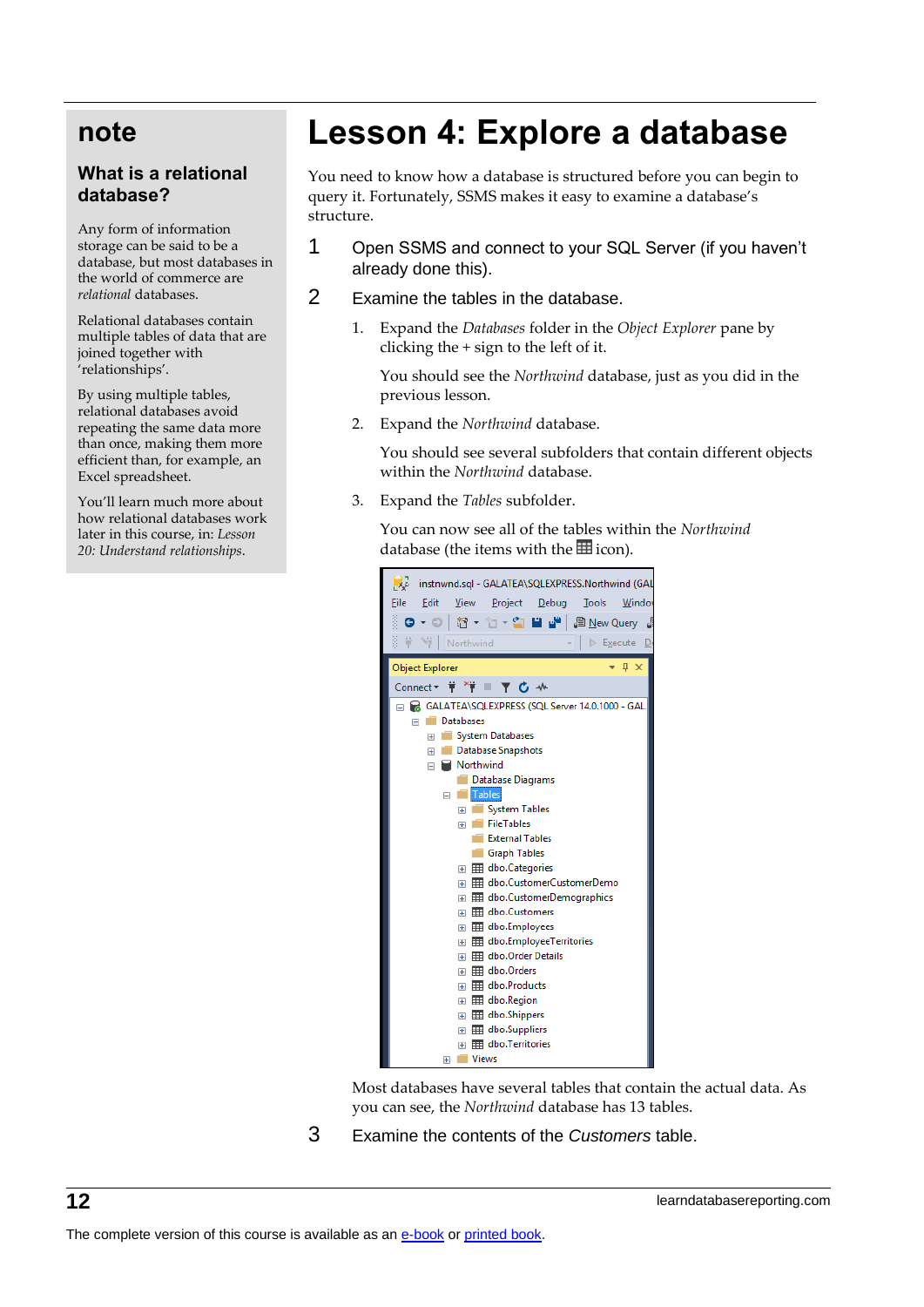## **note**

## **What is a relational database?**

Any form of information storage can be said to be a database, but most databases in the world of commerce are *relational* databases.

Relational databases contain multiple tables of data that are joined together with 'relationships'.

By using multiple tables, relational databases avoid repeating the same data more than once, making them more efficient than, for example, an Excel spreadsheet.

You'll learn much more about how relational databases work later in this course, in: *Lesson 20: Understand relationships*.

## **Lesson 4: Explore a database**

You need to know how a database is structured before you can begin to query it. Fortunately, SSMS makes it easy to examine a database's structure.

- 1 Open SSMS and connect to your SQL Server (if you haven't already done this).
- 2 Examine the tables in the database.
	- 1. Expand the *Databases* folder in the *Object Explorer* pane by clicking the + sign to the left of it.

You should see the *Northwind* database, just as you did in the previous lesson.

2. Expand the *Northwind* database.

You should see several subfolders that contain different objects within the *Northwind* database.

3. Expand the *Tables* subfolder.

You can now see all of the tables within the *Northwind* database (the items with the  $\equiv$  icon).



Most databases have several tables that contain the actual data. As you can see, the *Northwind* database has 13 tables.

3 Examine the contents of the *Customers* table.